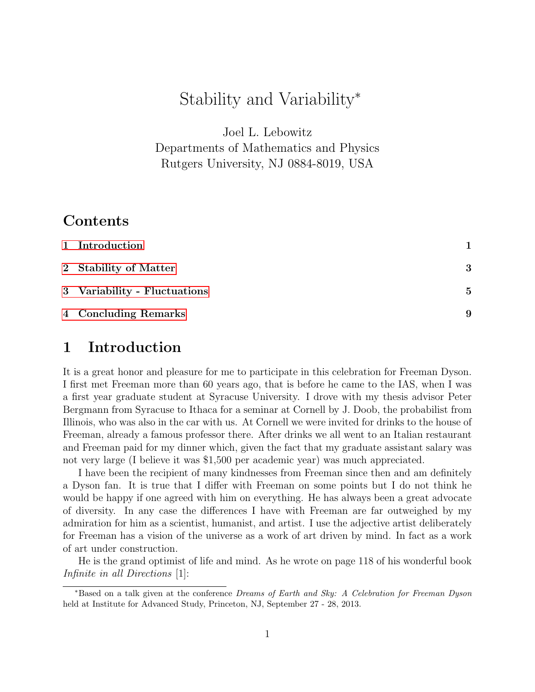# Stability and Variability<sup>∗</sup>

Joel L. Lebowitz Departments of Mathematics and Physics Rutgers University, NJ 0884-8019, USA

#### Contents

| 1 Introduction               |              |
|------------------------------|--------------|
| 2 Stability of Matter        | $\mathbf{3}$ |
| 3 Variability - Fluctuations | $\mathbf{5}$ |
| 4 Concluding Remarks         | 9            |

## <span id="page-0-0"></span>1 Introduction

It is a great honor and pleasure for me to participate in this celebration for Freeman Dyson. I first met Freeman more than 60 years ago, that is before he came to the IAS, when I was a first year graduate student at Syracuse University. I drove with my thesis advisor Peter Bergmann from Syracuse to Ithaca for a seminar at Cornell by J. Doob, the probabilist from Illinois, who was also in the car with us. At Cornell we were invited for drinks to the house of Freeman, already a famous professor there. After drinks we all went to an Italian restaurant and Freeman paid for my dinner which, given the fact that my graduate assistant salary was not very large (I believe it was \$1,500 per academic year) was much appreciated.

I have been the recipient of many kindnesses from Freeman since then and am definitely a Dyson fan. It is true that I differ with Freeman on some points but I do not think he would be happy if one agreed with him on everything. He has always been a great advocate of diversity. In any case the differences I have with Freeman are far outweighed by my admiration for him as a scientist, humanist, and artist. I use the adjective artist deliberately for Freeman has a vision of the universe as a work of art driven by mind. In fact as a work of art under construction.

He is the grand optimist of life and mind. As he wrote on page 118 of his wonderful book Infinite in all Directions [1]:

<sup>∗</sup>Based on a talk given at the conference Dreams of Earth and Sky: A Celebration for Freeman Dyson held at Institute for Advanced Study, Princeton, NJ, September 27 - 28, 2013.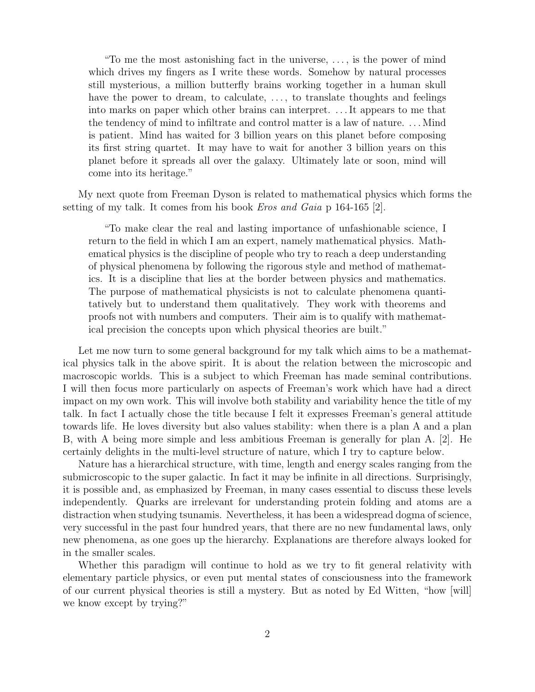"To me the most astonishing fact in the universe, . . . , is the power of mind which drives my fingers as I write these words. Somehow by natural processes still mysterious, a million butterfly brains working together in a human skull have the power to dream, to calculate, ..., to translate thoughts and feelings into marks on paper which other brains can interpret. . . . It appears to me that the tendency of mind to infiltrate and control matter is a law of nature. . . . Mind is patient. Mind has waited for 3 billion years on this planet before composing its first string quartet. It may have to wait for another 3 billion years on this planet before it spreads all over the galaxy. Ultimately late or soon, mind will come into its heritage."

My next quote from Freeman Dyson is related to mathematical physics which forms the setting of my talk. It comes from his book Eros and Gaia p 164-165 [2].

"To make clear the real and lasting importance of unfashionable science, I return to the field in which I am an expert, namely mathematical physics. Mathematical physics is the discipline of people who try to reach a deep understanding of physical phenomena by following the rigorous style and method of mathematics. It is a discipline that lies at the border between physics and mathematics. The purpose of mathematical physicists is not to calculate phenomena quantitatively but to understand them qualitatively. They work with theorems and proofs not with numbers and computers. Their aim is to qualify with mathematical precision the concepts upon which physical theories are built."

Let me now turn to some general background for my talk which aims to be a mathematical physics talk in the above spirit. It is about the relation between the microscopic and macroscopic worlds. This is a subject to which Freeman has made seminal contributions. I will then focus more particularly on aspects of Freeman's work which have had a direct impact on my own work. This will involve both stability and variability hence the title of my talk. In fact I actually chose the title because I felt it expresses Freeman's general attitude towards life. He loves diversity but also values stability: when there is a plan A and a plan B, with A being more simple and less ambitious Freeman is generally for plan A. [2]. He certainly delights in the multi-level structure of nature, which I try to capture below.

Nature has a hierarchical structure, with time, length and energy scales ranging from the submicroscopic to the super galactic. In fact it may be infinite in all directions. Surprisingly, it is possible and, as emphasized by Freeman, in many cases essential to discuss these levels independently. Quarks are irrelevant for understanding protein folding and atoms are a distraction when studying tsunamis. Nevertheless, it has been a widespread dogma of science, very successful in the past four hundred years, that there are no new fundamental laws, only new phenomena, as one goes up the hierarchy. Explanations are therefore always looked for in the smaller scales.

Whether this paradigm will continue to hold as we try to fit general relativity with elementary particle physics, or even put mental states of consciousness into the framework of our current physical theories is still a mystery. But as noted by Ed Witten, "how [will] we know except by trying?"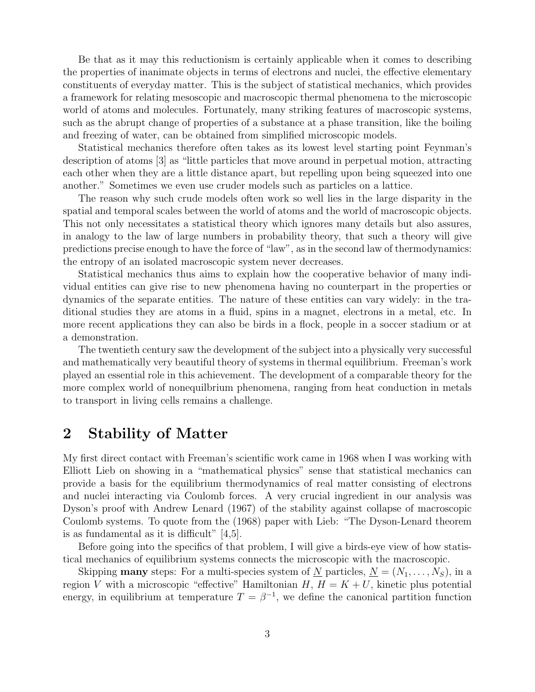Be that as it may this reductionism is certainly applicable when it comes to describing the properties of inanimate objects in terms of electrons and nuclei, the effective elementary constituents of everyday matter. This is the subject of statistical mechanics, which provides a framework for relating mesoscopic and macroscopic thermal phenomena to the microscopic world of atoms and molecules. Fortunately, many striking features of macroscopic systems, such as the abrupt change of properties of a substance at a phase transition, like the boiling and freezing of water, can be obtained from simplified microscopic models.

Statistical mechanics therefore often takes as its lowest level starting point Feynman's description of atoms [3] as "little particles that move around in perpetual motion, attracting each other when they are a little distance apart, but repelling upon being squeezed into one another." Sometimes we even use cruder models such as particles on a lattice.

The reason why such crude models often work so well lies in the large disparity in the spatial and temporal scales between the world of atoms and the world of macroscopic objects. This not only necessitates a statistical theory which ignores many details but also assures, in analogy to the law of large numbers in probability theory, that such a theory will give predictions precise enough to have the force of "law", as in the second law of thermodynamics: the entropy of an isolated macroscopic system never decreases.

Statistical mechanics thus aims to explain how the cooperative behavior of many individual entities can give rise to new phenomena having no counterpart in the properties or dynamics of the separate entities. The nature of these entities can vary widely: in the traditional studies they are atoms in a fluid, spins in a magnet, electrons in a metal, etc. In more recent applications they can also be birds in a flock, people in a soccer stadium or at a demonstration.

The twentieth century saw the development of the subject into a physically very successful and mathematically very beautiful theory of systems in thermal equilibrium. Freeman's work played an essential role in this achievement. The development of a comparable theory for the more complex world of nonequilbrium phenomena, ranging from heat conduction in metals to transport in living cells remains a challenge.

### <span id="page-2-0"></span>2 Stability of Matter

My first direct contact with Freeman's scientific work came in 1968 when I was working with Elliott Lieb on showing in a "mathematical physics" sense that statistical mechanics can provide a basis for the equilibrium thermodynamics of real matter consisting of electrons and nuclei interacting via Coulomb forces. A very crucial ingredient in our analysis was Dyson's proof with Andrew Lenard (1967) of the stability against collapse of macroscopic Coulomb systems. To quote from the (1968) paper with Lieb: "The Dyson-Lenard theorem is as fundamental as it is difficult" [4,5].

Before going into the specifics of that problem, I will give a birds-eye view of how statistical mechanics of equilibrium systems connects the microscopic with the macroscopic.

Skipping **many** steps: For a multi-species system of N particles,  $N = (N_1, \ldots, N_S)$ , in a region V with a microscopic "effective" Hamiltonian  $H, H = K + U$ , kinetic plus potential energy, in equilibrium at temperature  $T = \beta^{-1}$ , we define the canonical partition function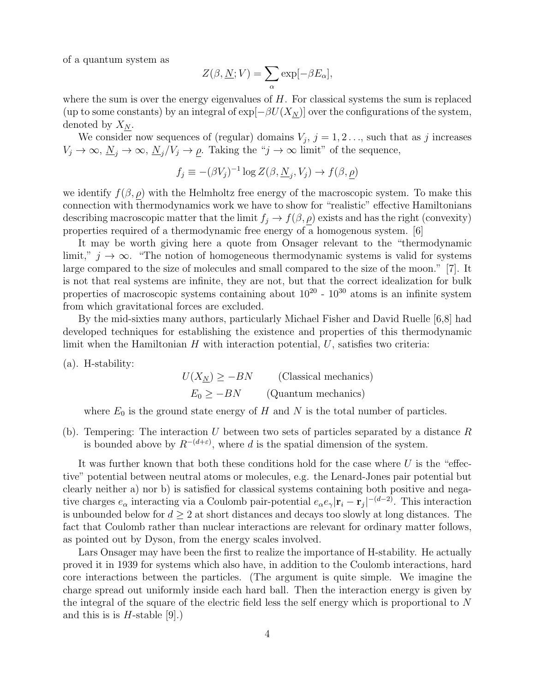of a quantum system as

$$
Z(\beta, \underline{N}; V) = \sum_{\alpha} \exp[-\beta E_{\alpha}],
$$

where the sum is over the energy eigenvalues of  $H$ . For classical systems the sum is replaced (up to some constants) by an integral of  $\exp[-\beta U(X_N)]$  over the configurations of the system, denoted by  $X_N$ .

We consider now sequences of (regular) domains  $V_j$ ,  $j = 1, 2, \ldots$ , such that as j increases  $V_j \to \infty$ ,  $\underline{N}_j \to \infty$ ,  $\underline{N}_j/V_j \to \rho$ . Taking the " $j \to \infty$  limit" of the sequence,

$$
f_j \equiv -(\beta V_j)^{-1} \log Z(\beta, \underline{N}_j, V_j) \to f(\beta, \underline{\rho})
$$

we identify  $f(\beta, \rho)$  with the Helmholtz free energy of the macroscopic system. To make this connection with thermodynamics work we have to show for "realistic" effective Hamiltonians describing macroscopic matter that the limit  $f_j \to f(\beta, \rho)$  exists and has the right (convexity) properties required of a thermodynamic free energy of a homogenous system. [6]

It may be worth giving here a quote from Onsager relevant to the "thermodynamic limit,"  $j \to \infty$ . "The notion of homogeneous thermodynamic systems is valid for systems large compared to the size of molecules and small compared to the size of the moon." [7]. It is not that real systems are infinite, they are not, but that the correct idealization for bulk properties of macroscopic systems containing about  $10^{20}$  -  $10^{30}$  atoms is an infinite system from which gravitational forces are excluded.

By the mid-sixties many authors, particularly Michael Fisher and David Ruelle [6,8] had developed techniques for establishing the existence and properties of this thermodynamic limit when the Hamiltonian  $H$  with interaction potential,  $U$ , satisfies two criteria:

(a). H-stability:

$$
U(X_{\underline{N}}) \ge -BN
$$
 (Classical mechanics)  

$$
E_0 \ge -BN
$$
 (Quantum mechanics)

where  $E_0$  is the ground state energy of H and N is the total number of particles.

(b). Tempering: The interaction  $U$  between two sets of particles separated by a distance  $R$ is bounded above by  $R^{-(d+\varepsilon)}$ , where d is the spatial dimension of the system.

It was further known that both these conditions hold for the case where  $U$  is the "effective" potential between neutral atoms or molecules, e.g. the Lenard-Jones pair potential but clearly neither a) nor b) is satisfied for classical systems containing both positive and negative charges  $e_{\alpha}$  interacting via a Coulomb pair-potential  $e_{\alpha}e_{\gamma}|\mathbf{r}_i - \mathbf{r}_j|^{-(d-2)}$ . This interaction is unbounded below for  $d \geq 2$  at short distances and decays too slowly at long distances. The fact that Coulomb rather than nuclear interactions are relevant for ordinary matter follows, as pointed out by Dyson, from the energy scales involved.

Lars Onsager may have been the first to realize the importance of H-stability. He actually proved it in 1939 for systems which also have, in addition to the Coulomb interactions, hard core interactions between the particles. (The argument is quite simple. We imagine the charge spread out uniformly inside each hard ball. Then the interaction energy is given by the integral of the square of the electric field less the self energy which is proportional to N and this is is  $H$ -stable [9].)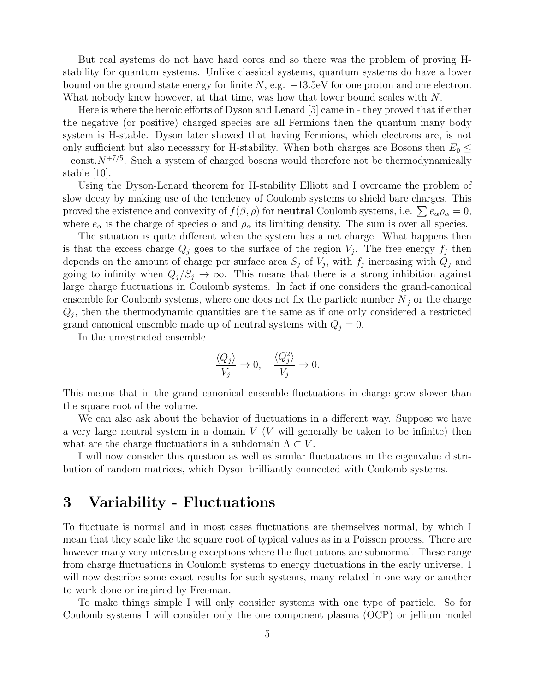But real systems do not have hard cores and so there was the problem of proving Hstability for quantum systems. Unlike classical systems, quantum systems do have a lower bound on the ground state energy for finite  $N$ , e.g.  $-13.5$ eV for one proton and one electron. What nobody knew however, at that time, was how that lower bound scales with N.

Here is where the heroic efforts of Dyson and Lenard [5] came in - they proved that if either the negative (or positive) charged species are all Fermions then the quantum many body system is H-stable. Dyson later showed that having Fermions, which electrons are, is not only sufficient but also necessary for H-stability. When both charges are Bosons then  $E_0 \leq$  $-\text{const.}N^{+7/5}$ . Such a system of charged bosons would therefore not be thermodynamically stable [10].

Using the Dyson-Lenard theorem for H-stability Elliott and I overcame the problem of slow decay by making use of the tendency of Coulomb systems to shield bare charges. This proved the existence and convexity of  $f(\beta, \rho)$  for **neutral** Coulomb systems, i.e.  $\sum e_{\alpha} \rho_{\alpha} = 0$ , where  $e_{\alpha}$  is the charge of species  $\alpha$  and  $\rho_{\alpha}$  its limiting density. The sum is over all species.

The situation is quite different when the system has a net charge. What happens then is that the excess charge  $Q_j$  goes to the surface of the region  $V_j$ . The free energy  $f_j$  then depends on the amount of charge per surface area  $S_j$  of  $V_j$ , with  $f_j$  increasing with  $Q_j$  and going to infinity when  $Q_i/S_i \to \infty$ . This means that there is a strong inhibition against large charge fluctuations in Coulomb systems. In fact if one considers the grand-canonical ensemble for Coulomb systems, where one does not fix the particle number  $\underline{N}_i$  or the charge  $Q_j$ , then the thermodynamic quantities are the same as if one only considered a restricted grand canonical ensemble made up of neutral systems with  $Q_j = 0$ .

In the unrestricted ensemble

$$
\frac{\langle Q_j \rangle}{V_j} \to 0, \quad \frac{\langle Q_j^2 \rangle}{V_j} \to 0.
$$

This means that in the grand canonical ensemble fluctuations in charge grow slower than the square root of the volume.

We can also ask about the behavior of fluctuations in a different way. Suppose we have a very large neutral system in a domain  $V$  (V will generally be taken to be infinite) then what are the charge fluctuations in a subdomain  $\Lambda \subset V$ .

I will now consider this question as well as similar fluctuations in the eigenvalue distribution of random matrices, which Dyson brilliantly connected with Coulomb systems.

## <span id="page-4-0"></span>3 Variability - Fluctuations

To fluctuate is normal and in most cases fluctuations are themselves normal, by which I mean that they scale like the square root of typical values as in a Poisson process. There are however many very interesting exceptions where the fluctuations are subnormal. These range from charge fluctuations in Coulomb systems to energy fluctuations in the early universe. I will now describe some exact results for such systems, many related in one way or another to work done or inspired by Freeman.

To make things simple I will only consider systems with one type of particle. So for Coulomb systems I will consider only the one component plasma (OCP) or jellium model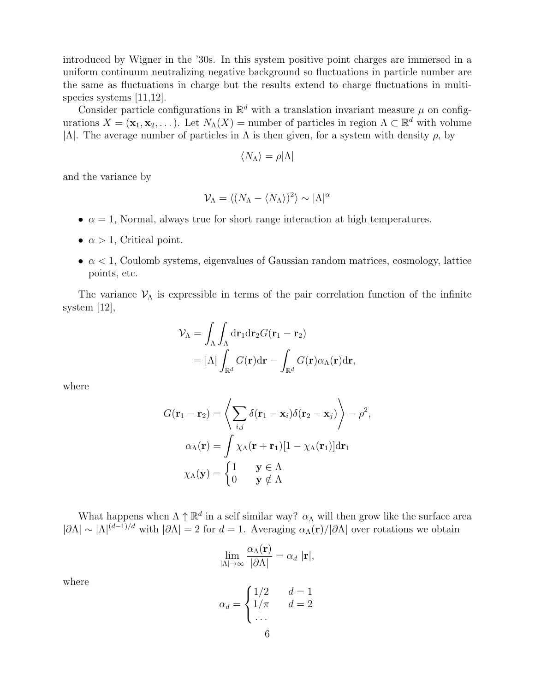introduced by Wigner in the '30s. In this system positive point charges are immersed in a uniform continuum neutralizing negative background so fluctuations in particle number are the same as fluctuations in charge but the results extend to charge fluctuations in multispecies systems [11,12].

Consider particle configurations in  $\mathbb{R}^d$  with a translation invariant measure  $\mu$  on configurations  $X = (\mathbf{x}_1, \mathbf{x}_2, \dots)$ . Let  $N_\Lambda(X) =$  number of particles in region  $\Lambda \subset \mathbb{R}^d$  with volume |Λ|. The average number of particles in  $\Lambda$  is then given, for a system with density  $\rho$ , by

$$
\langle N_{\Lambda} \rangle = \rho |\Lambda|
$$

and the variance by

$$
\mathcal{V}_{\Lambda} = \langle (N_{\Lambda} - \langle N_{\Lambda} \rangle)^2 \rangle \sim |\Lambda|^{\alpha}
$$

- $\alpha = 1$ , Normal, always true for short range interaction at high temperatures.
- $\alpha > 1$ , Critical point.
- $\alpha$  < 1, Coulomb systems, eigenvalues of Gaussian random matrices, cosmology, lattice points, etc.

The variance  $\mathcal{V}_\Lambda$  is expressible in terms of the pair correlation function of the infinite system [12],

$$
\mathcal{V}_{\Lambda} = \int_{\Lambda} \int_{\Lambda} d\mathbf{r}_{1} d\mathbf{r}_{2} G(\mathbf{r}_{1} - \mathbf{r}_{2})
$$
  
=  $|\Lambda| \int_{\mathbb{R}^{d}} G(\mathbf{r}) d\mathbf{r} - \int_{\mathbb{R}^{d}} G(\mathbf{r}) \alpha_{\Lambda}(\mathbf{r}) d\mathbf{r},$ 

where

$$
G(\mathbf{r}_{1} - \mathbf{r}_{2}) = \left\langle \sum_{i,j} \delta(\mathbf{r}_{1} - \mathbf{x}_{i}) \delta(\mathbf{r}_{2} - \mathbf{x}_{j}) \right\rangle - \rho^{2},
$$

$$
\alpha_{\Lambda}(\mathbf{r}) = \int \chi_{\Lambda}(\mathbf{r} + \mathbf{r}_{1}) [1 - \chi_{\Lambda}(\mathbf{r}_{1})] d\mathbf{r}_{1}
$$

$$
\chi_{\Lambda}(\mathbf{y}) = \begin{cases} 1 & \mathbf{y} \in \Lambda \\ 0 & \mathbf{y} \notin \Lambda \end{cases}
$$

What happens when  $\Lambda \uparrow \mathbb{R}^d$  in a self similar way?  $\alpha_{\Lambda}$  will then grow like the surface area  $|\partial\Lambda| \sim |\Lambda|^{(d-1)/d}$  with  $|\partial\Lambda| = 2$  for  $d = 1$ . Averaging  $\alpha_{\Lambda}(\mathbf{r})/|\partial\Lambda|$  over rotations we obtain

$$
\lim_{|\Lambda| \to \infty} \frac{\alpha_{\Lambda}(\mathbf{r})}{|\partial \Lambda|} = \alpha_d |\mathbf{r}|,
$$

where

$$
\alpha_d = \begin{cases} 1/2 & d = 1 \\ 1/\pi & d = 2 \\ \dots \end{cases}
$$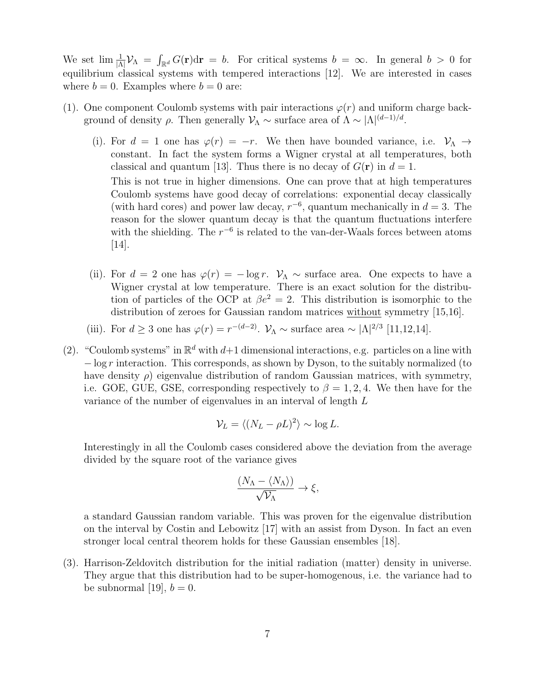We set  $\lim_{\vert\Lambda\vert}\frac{1}{\vert\Lambda\vert}\mathcal{V}_{\Lambda} = \int_{\mathbb{R}^{d}}G(\mathbf{r})d\mathbf{r} = b$ . For critical systems  $b = \infty$ . In general  $b > 0$  for equilibrium classical systems with tempered interactions [12]. We are interested in cases where  $b = 0$ . Examples where  $b = 0$  are:

- (1). One component Coulomb systems with pair interactions  $\varphi(r)$  and uniform charge background of density  $\rho$ . Then generally  $\mathcal{V}_{\Lambda} \sim$  surface area of  $\Lambda \sim |\Lambda|^{(d-1)/d}$ .
	- (i). For  $d = 1$  one has  $\varphi(r) = -r$ . We then have bounded variance, i.e.  $\mathcal{V}_{\Lambda} \to$ constant. In fact the system forms a Wigner crystal at all temperatures, both classical and quantum [13]. Thus there is no decay of  $G(\mathbf{r})$  in  $d=1$ . This is not true in higher dimensions. One can prove that at high temperatures Coulomb systems have good decay of correlations: exponential decay classically (with hard cores) and power law decay,  $r^{-6}$ , quantum mechanically in  $d = 3$ . The reason for the slower quantum decay is that the quantum fluctuations interfere with the shielding. The  $r^{-6}$  is related to the van-der-Waals forces between atoms [14].
	- (ii). For  $d = 2$  one has  $\varphi(r) = -\log r$ .  $\mathcal{V}_{\Lambda} \sim$  surface area. One expects to have a Wigner crystal at low temperature. There is an exact solution for the distribution of particles of the OCP at  $\beta e^2 = 2$ . This distribution is isomorphic to the distribution of zeroes for Gaussian random matrices without symmetry [15,16].
	- (iii). For  $d \geq 3$  one has  $\varphi(r) = r^{-(d-2)}$ .  $\mathcal{V}_{\Lambda} \sim$  surface area  $\sim |\Lambda|^{2/3}$  [11,12,14].
- (2). "Coulomb systems" in  $\mathbb{R}^d$  with  $d+1$  dimensional interactions, e.g. particles on a line with  $-\log r$  interaction. This corresponds, as shown by Dyson, to the suitably normalized (to have density  $\rho$ ) eigenvalue distribution of random Gaussian matrices, with symmetry, i.e. GOE, GUE, GSE, corresponding respectively to  $\beta = 1, 2, 4$ . We then have for the variance of the number of eigenvalues in an interval of length L

$$
\mathcal{V}_L = \langle (N_L - \rho L)^2 \rangle \sim \log L.
$$

Interestingly in all the Coulomb cases considered above the deviation from the average divided by the square root of the variance gives

$$
\frac{(N_{\Lambda} - \langle N_{\Lambda} \rangle)}{\sqrt{\mathcal{V}_{\Lambda}}} \to \xi,
$$

a standard Gaussian random variable. This was proven for the eigenvalue distribution on the interval by Costin and Lebowitz [17] with an assist from Dyson. In fact an even stronger local central theorem holds for these Gaussian ensembles [18].

(3). Harrison-Zeldovitch distribution for the initial radiation (matter) density in universe. They argue that this distribution had to be super-homogenous, i.e. the variance had to be subnormal [19],  $b = 0$ .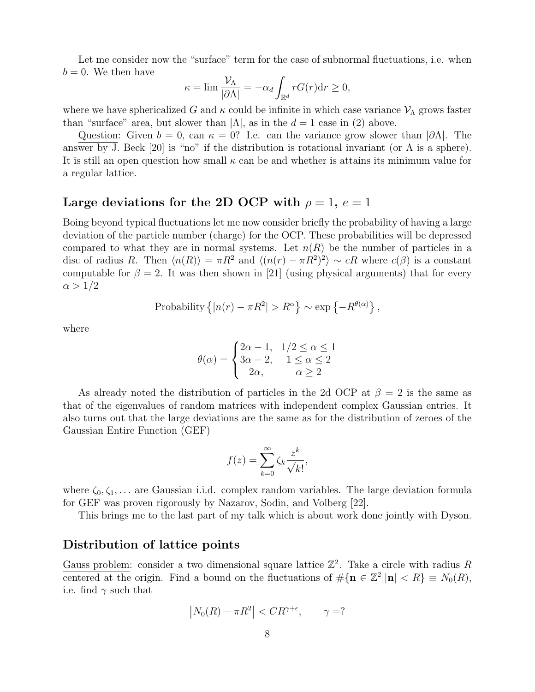Let me consider now the "surface" term for the case of subnormal fluctuations, i.e. when  $b = 0$ . We then have

$$
\kappa = \lim \frac{\mathcal{V}_{\Lambda}}{|\partial \Lambda|} = -\alpha_d \int_{\mathbb{R}^d} r G(r) dr \ge 0,
$$

where we have sphericalized G and  $\kappa$  could be infinite in which case variance  $\mathcal{V}_{\Lambda}$  grows faster than "surface" area, but slower than  $|\Lambda|$ , as in the  $d = 1$  case in (2) above.

Question: Given  $b = 0$ , can  $\kappa = 0$ ? I.e. can the variance grow slower than  $|\partial \Lambda|$ . The answer by J. Beck [20] is "no" if the distribution is rotational invariant (or  $\Lambda$  is a sphere). It is still an open question how small  $\kappa$  can be and whether is attains its minimum value for a regular lattice.

#### Large deviations for the 2D OCP with  $\rho = 1, e = 1$

Boing beyond typical fluctuations let me now consider briefly the probability of having a large deviation of the particle number (charge) for the OCP. These probabilities will be depressed compared to what they are in normal systems. Let  $n(R)$  be the number of particles in a disc of radius R. Then  $\langle n(R) \rangle = \pi R^2$  and  $\langle (n(r) - \pi R^2)^2 \rangle \sim cR$  where  $c(\beta)$  is a constant computable for  $\beta = 2$ . It was then shown in [21] (using physical arguments) that for every  $\alpha > 1/2$ 

Probability 
$$
\{|n(r) - \pi R^2| > R^{\alpha}\}\sim \exp\{-R^{\theta(\alpha)}\}\,
$$

where

$$
\theta(\alpha) = \begin{cases} 2\alpha - 1, & 1/2 \le \alpha \le 1 \\ 3\alpha - 2, & 1 \le \alpha \le 2 \\ 2\alpha, & \alpha \ge 2 \end{cases}
$$

As already noted the distribution of particles in the 2d OCP at  $\beta = 2$  is the same as that of the eigenvalues of random matrices with independent complex Gaussian entries. It also turns out that the large deviations are the same as for the distribution of zeroes of the Gaussian Entire Function (GEF)

$$
f(z) = \sum_{k=0}^{\infty} \zeta_k \frac{z^k}{\sqrt{k!}},
$$

where  $\zeta_0, \zeta_1, \ldots$  are Gaussian i.i.d. complex random variables. The large deviation formula for GEF was proven rigorously by Nazarov, Sodin, and Volberg [22].

This brings me to the last part of my talk which is about work done jointly with Dyson.

#### Distribution of lattice points

Gauss problem: consider a two dimensional square lattice  $\mathbb{Z}^2$ . Take a circle with radius R centered at the origin. Find a bound on the fluctuations of  $\#\{\mathbf{n} \in \mathbb{Z}^2 | |\mathbf{n}| < R\} \equiv N_0(R)$ , i.e. find  $\gamma$  such that

$$
\left|N_0(R) - \pi R^2\right| < CR^{\gamma + \epsilon}, \qquad \gamma = ?
$$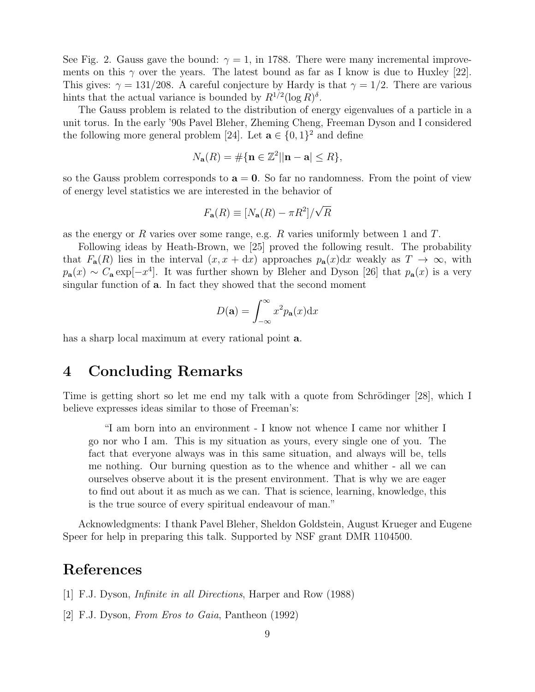See Fig. 2. Gauss gave the bound:  $\gamma = 1$ , in 1788. There were many incremental improvements on this  $\gamma$  over the years. The latest bound as far as I know is due to Huxley [22]. This gives:  $\gamma = 131/208$ . A careful conjecture by Hardy is that  $\gamma = 1/2$ . There are various hints that the actual variance is bounded by  $R^{1/2}(\log R)^{\delta}$ .

The Gauss problem is related to the distribution of energy eigenvalues of a particle in a unit torus. In the early '90s Pavel Bleher, Zheming Cheng, Freeman Dyson and I considered the following more general problem [24]. Let  $\mathbf{a} \in \{0,1\}^2$  and define

$$
N_{\mathbf{a}}(R) = \#\{\mathbf{n} \in \mathbb{Z}^2 | |\mathbf{n} - \mathbf{a}| \le R\},\
$$

so the Gauss problem corresponds to  $a = 0$ . So far no randomness. From the point of view of energy level statistics we are interested in the behavior of

$$
F_{\mathbf{a}}(R) \equiv [N_{\mathbf{a}}(R) - \pi R^2]/\sqrt{R}
$$

as the energy or R varies over some range, e.g. R varies uniformly between 1 and  $T$ .

Following ideas by Heath-Brown, we [25] proved the following result. The probability that  $F_{\mathbf{a}}(R)$  lies in the interval  $(x, x + dx)$  approaches  $p_{\mathbf{a}}(x)dx$  weakly as  $T \to \infty$ , with  $p_{\bf a}(x) \sim C_{\bf a} \exp[-x^4]$ . It was further shown by Bleher and Dyson [26] that  $p_{\bf a}(x)$  is a very singular function of a. In fact they showed that the second moment

$$
D(\mathbf{a}) = \int_{-\infty}^{\infty} x^2 p_{\mathbf{a}}(x) dx
$$

has a sharp local maximum at every rational point a.

#### <span id="page-8-0"></span>4 Concluding Remarks

Time is getting short so let me end my talk with a quote from Schrödinger [28], which I believe expresses ideas similar to those of Freeman's:

"I am born into an environment - I know not whence I came nor whither I go nor who I am. This is my situation as yours, every single one of you. The fact that everyone always was in this same situation, and always will be, tells me nothing. Our burning question as to the whence and whither - all we can ourselves observe about it is the present environment. That is why we are eager to find out about it as much as we can. That is science, learning, knowledge, this is the true source of every spiritual endeavour of man."

Acknowledgments: I thank Pavel Bleher, Sheldon Goldstein, August Krueger and Eugene Speer for help in preparing this talk. Supported by NSF grant DMR 1104500.

#### References

- [1] F.J. Dyson, Infinite in all Directions, Harper and Row (1988)
- [2] F.J. Dyson, From Eros to Gaia, Pantheon (1992)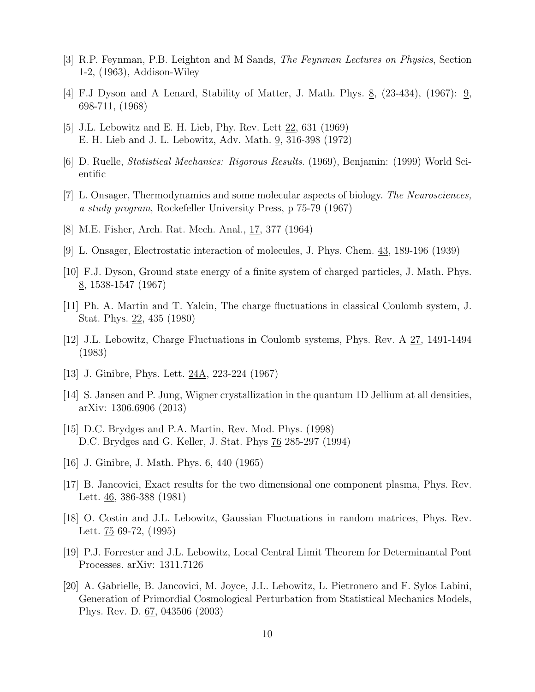- [3] R.P. Feynman, P.B. Leighton and M Sands, The Feynman Lectures on Physics, Section 1-2, (1963), Addison-Wiley
- [4] F.J Dyson and A Lenard, Stability of Matter, J. Math. Phys. 8, (23-434), (1967): 9, 698-711, (1968)
- [5] J.L. Lebowitz and E. H. Lieb, Phy. Rev. Lett 22, 631 (1969) E. H. Lieb and J. L. Lebowitz, Adv. Math. 9, 316-398 (1972)
- [6] D. Ruelle, Statistical Mechanics: Rigorous Results. (1969), Benjamin: (1999) World Scientific
- [7] L. Onsager, Thermodynamics and some molecular aspects of biology. The Neurosciences, a study program, Rockefeller University Press, p 75-79 (1967)
- [8] M.E. Fisher, Arch. Rat. Mech. Anal., 17, 377 (1964)
- [9] L. Onsager, Electrostatic interaction of molecules, J. Phys. Chem. 43, 189-196 (1939)
- [10] F.J. Dyson, Ground state energy of a finite system of charged particles, J. Math. Phys. 8, 1538-1547 (1967)
- [11] Ph. A. Martin and T. Yalcin, The charge fluctuations in classical Coulomb system, J. Stat. Phys. 22, 435 (1980)
- [12] J.L. Lebowitz, Charge Fluctuations in Coulomb systems, Phys. Rev. A 27, 1491-1494 (1983)
- [13] J. Ginibre, Phys. Lett. 24A, 223-224 (1967)
- [14] S. Jansen and P. Jung, Wigner crystallization in the quantum 1D Jellium at all densities, arXiv: 1306.6906 (2013)
- [15] D.C. Brydges and P.A. Martin, Rev. Mod. Phys. (1998) D.C. Brydges and G. Keller, J. Stat. Phys 76 285-297 (1994)
- [16] J. Ginibre, J. Math. Phys. 6, 440 (1965)
- [17] B. Jancovici, Exact results for the two dimensional one component plasma, Phys. Rev. Lett. 46, 386-388 (1981)
- [18] O. Costin and J.L. Lebowitz, Gaussian Fluctuations in random matrices, Phys. Rev. Lett. 75 69-72, (1995)
- [19] P.J. Forrester and J.L. Lebowitz, Local Central Limit Theorem for Determinantal Pont Processes. arXiv: 1311.7126
- [20] A. Gabrielle, B. Jancovici, M. Joyce, J.L. Lebowitz, L. Pietronero and F. Sylos Labini, Generation of Primordial Cosmological Perturbation from Statistical Mechanics Models, Phys. Rev. D. 67, 043506 (2003)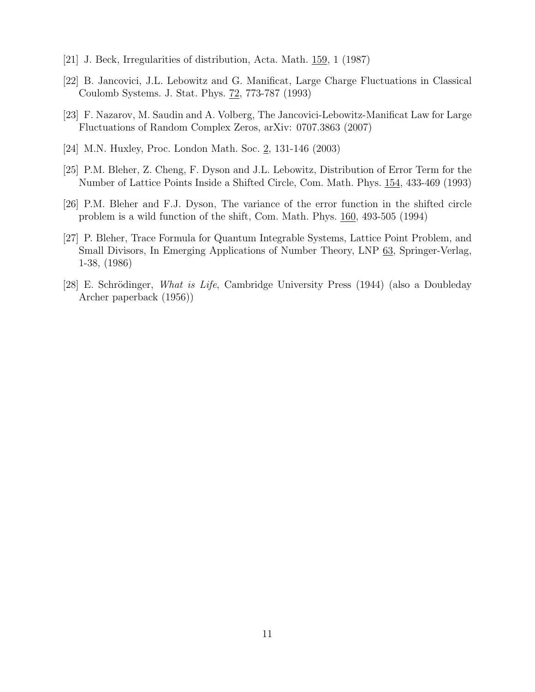- [21] J. Beck, Irregularities of distribution, Acta. Math. 159, 1 (1987)
- [22] B. Jancovici, J.L. Lebowitz and G. Manificat, Large Charge Fluctuations in Classical Coulomb Systems. J. Stat. Phys. 72, 773-787 (1993)
- [23] F. Nazarov, M. Saudin and A. Volberg, The Jancovici-Lebowitz-Manificat Law for Large Fluctuations of Random Complex Zeros, arXiv: 0707.3863 (2007)
- [24] M.N. Huxley, Proc. London Math. Soc. 2, 131-146 (2003)
- [25] P.M. Bleher, Z. Cheng, F. Dyson and J.L. Lebowitz, Distribution of Error Term for the Number of Lattice Points Inside a Shifted Circle, Com. Math. Phys. 154, 433-469 (1993)
- [26] P.M. Bleher and F.J. Dyson, The variance of the error function in the shifted circle problem is a wild function of the shift, Com. Math. Phys. 160, 493-505 (1994)
- [27] P. Bleher, Trace Formula for Quantum Integrable Systems, Lattice Point Problem, and Small Divisors, In Emerging Applications of Number Theory, LNP 63, Springer-Verlag, 1-38, (1986)
- [28] E. Schrödinger, *What is Life*, Cambridge University Press  $(1944)$  (also a Doubleday Archer paperback (1956))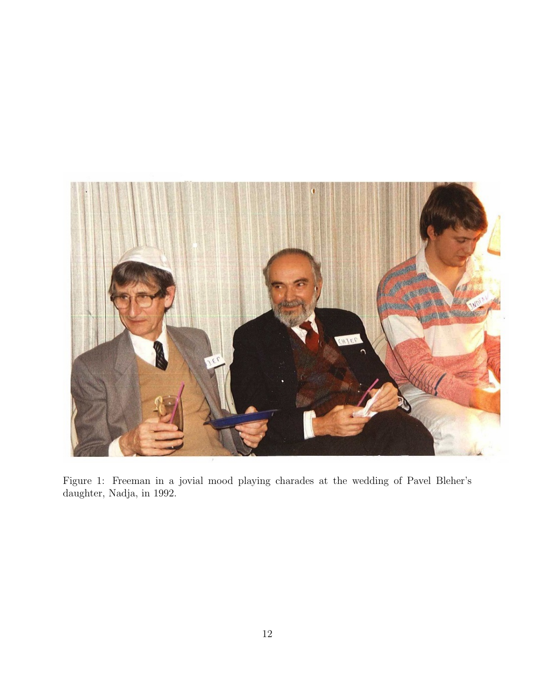

Figure 1: Freeman in a jovial mood playing charades at the wedding of Pavel Bleher's daughter, Nadja, in 1992.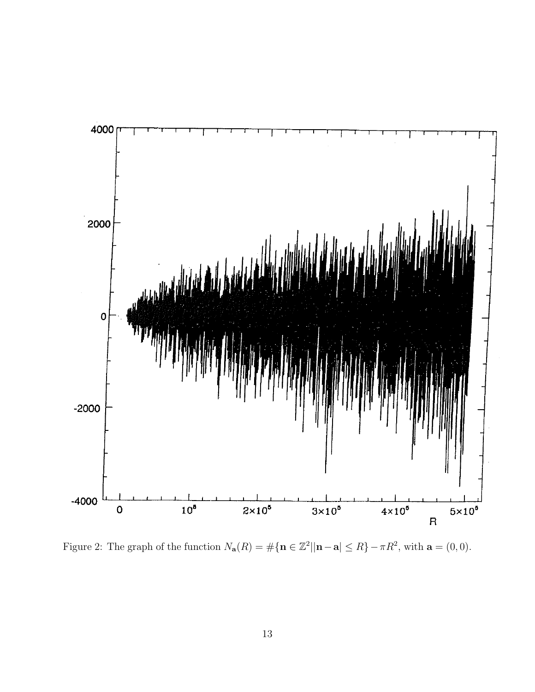

Figure 2: The graph of the function  $N_{\mathbf{a}}(R) = \# \{ \mathbf{n} \in \mathbb{Z}^2 | |\mathbf{n} - \mathbf{a}| \leq R \} - \pi R^2$ , with  $\mathbf{a} = (0,0)$ .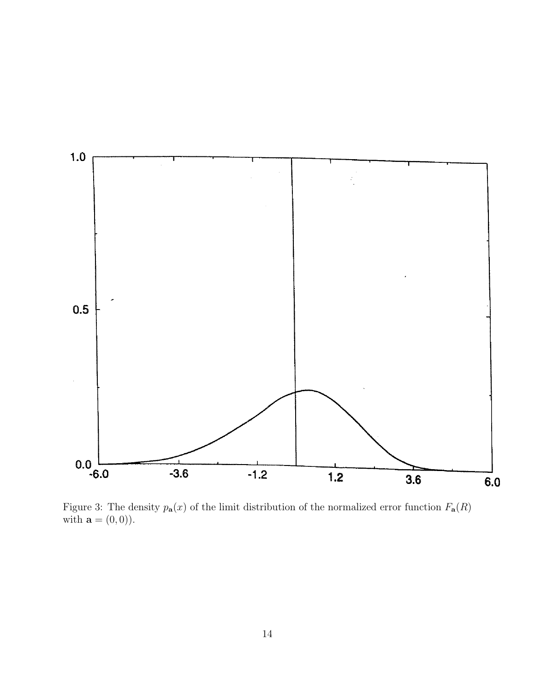

Figure 3: The density  $p_a(x)$  of the limit distribution of the normalized error function  $F_a(R)$ with  $\mathbf{a} = (0, 0)$ .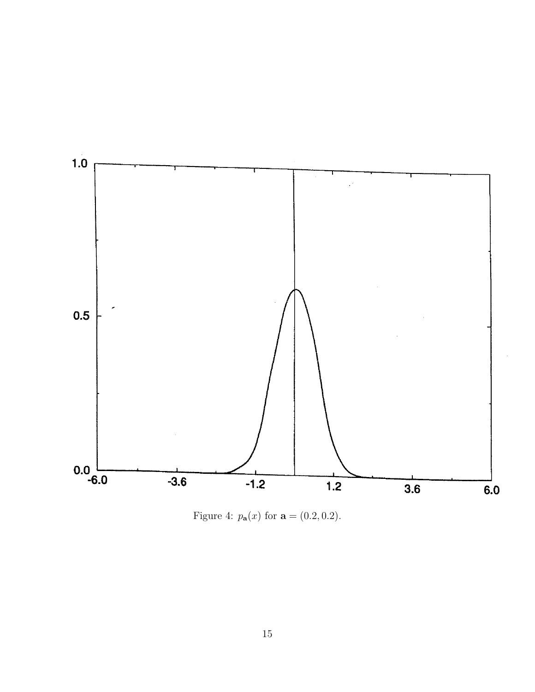